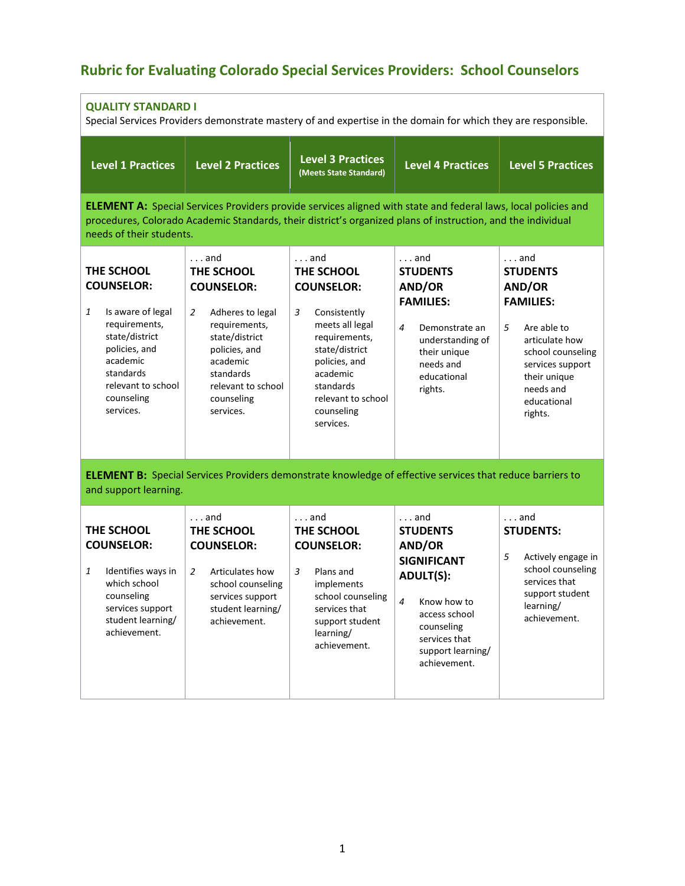## **Rubric for Evaluating Colorado Special Services Providers: School Counselors**

| <b>QUALITY STANDARD I</b><br>Special Services Providers demonstrate mastery of and expertise in the domain for which they are responsible.                                              |                                                                                                                                                                                                        |                                                                                                                                                                                                                                       |                                                                                                                                                                                                           |                                                                                                                                                                                                     |
|-----------------------------------------------------------------------------------------------------------------------------------------------------------------------------------------|--------------------------------------------------------------------------------------------------------------------------------------------------------------------------------------------------------|---------------------------------------------------------------------------------------------------------------------------------------------------------------------------------------------------------------------------------------|-----------------------------------------------------------------------------------------------------------------------------------------------------------------------------------------------------------|-----------------------------------------------------------------------------------------------------------------------------------------------------------------------------------------------------|
| <b>Level 1 Practices</b>                                                                                                                                                                | <b>Level 2 Practices</b>                                                                                                                                                                               | <b>Level 3 Practices</b><br>(Meets State Standard)                                                                                                                                                                                    | <b>Level 4 Practices</b>                                                                                                                                                                                  | <b>Level 5 Practices</b>                                                                                                                                                                            |
| needs of their students.                                                                                                                                                                |                                                                                                                                                                                                        | <b>ELEMENT A:</b> Special Services Providers provide services aligned with state and federal laws, local policies and<br>procedures, Colorado Academic Standards, their district's organized plans of instruction, and the individual |                                                                                                                                                                                                           |                                                                                                                                                                                                     |
| THE SCHOOL<br><b>COUNSELOR:</b><br>1<br>Is aware of legal<br>requirements,<br>state/district<br>policies, and<br>academic<br>standards<br>relevant to school<br>counseling<br>services. | $\ldots$ and<br>THE SCHOOL<br><b>COUNSELOR:</b><br>2<br>Adheres to legal<br>requirements,<br>state/district<br>policies, and<br>academic<br>standards<br>relevant to school<br>counseling<br>services. | $\ldots$ and<br>THE SCHOOL<br><b>COUNSELOR:</b><br>Consistently<br>3<br>meets all legal<br>requirements,<br>state/district<br>policies, and<br>academic<br>standards<br>relevant to school<br>counseling<br>services.                 | $\ldots$ and<br><b>STUDENTS</b><br>AND/OR<br><b>FAMILIES:</b><br>4<br>Demonstrate an<br>understanding of<br>their unique<br>needs and<br>educational<br>rights.                                           | $\ldots$ and<br><b>STUDENTS</b><br>AND/OR<br><b>FAMILIES:</b><br>5<br>Are able to<br>articulate how<br>school counseling<br>services support<br>their unique<br>needs and<br>educational<br>rights. |
| and support learning.                                                                                                                                                                   |                                                                                                                                                                                                        | <b>ELEMENT B:</b> Special Services Providers demonstrate knowledge of effective services that reduce barriers to                                                                                                                      |                                                                                                                                                                                                           |                                                                                                                                                                                                     |
| THE SCHOOL<br><b>COUNSELOR:</b><br>Identifies ways in<br>1<br>which school<br>counseling<br>services support<br>student learning/<br>achievement.                                       | $\ldots$ and<br>THE SCHOOL<br><b>COUNSELOR:</b><br>Articulates how<br>2<br>school counseling<br>services support<br>student learning/<br>achievement.                                                  | $\ldots$ and<br>THE SCHOOL<br><b>COUNSELOR:</b><br>Plans and<br>3<br>implements<br>school counseling<br>services that<br>support student<br>learning/<br>achievement.                                                                 | $\ldots$ and<br><b>STUDENTS</b><br>AND/OR<br><b>SIGNIFICANT</b><br><b>ADULT(S):</b><br>$\overline{4}$<br>Know how to<br>access school<br>counseling<br>services that<br>support learning/<br>achievement. | $\ldots$ and<br><b>STUDENTS:</b><br>5<br>Actively engage in<br>school counseling<br>services that<br>support student<br>learning/<br>achievement.                                                   |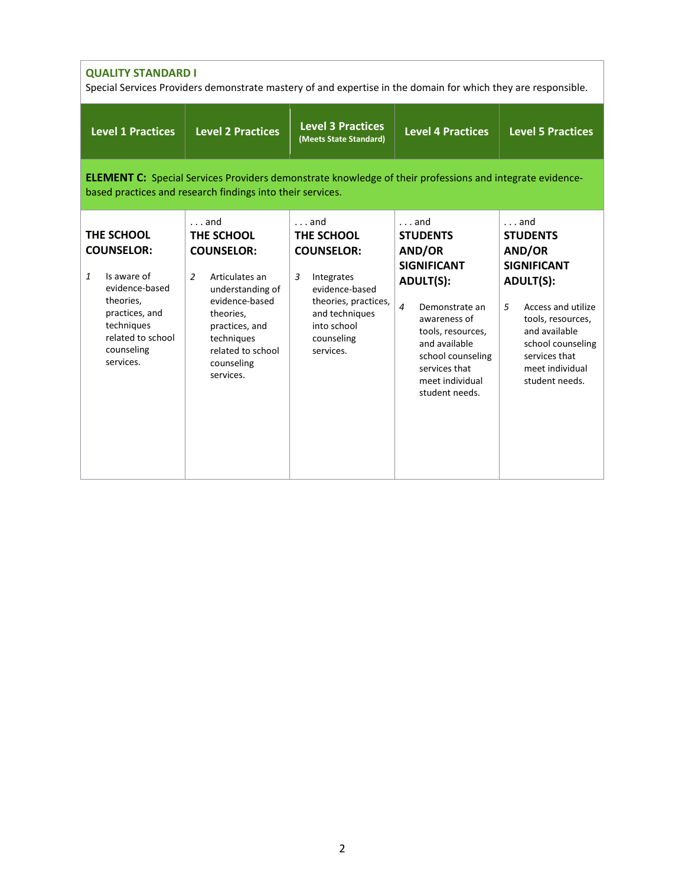| <b>QUALITY STANDARD I</b><br>Special Services Providers demonstrate mastery of and expertise in the domain for which they are responsible.                                    |                                                                                                                                                                                                                        |                                                                                                                                                                          |                                                                                                                                                                                                                                             |                                                                                                                                                                                                                                 |  |
|-------------------------------------------------------------------------------------------------------------------------------------------------------------------------------|------------------------------------------------------------------------------------------------------------------------------------------------------------------------------------------------------------------------|--------------------------------------------------------------------------------------------------------------------------------------------------------------------------|---------------------------------------------------------------------------------------------------------------------------------------------------------------------------------------------------------------------------------------------|---------------------------------------------------------------------------------------------------------------------------------------------------------------------------------------------------------------------------------|--|
| <b>Level 1 Practices</b>                                                                                                                                                      | <b>Level 2 Practices</b>                                                                                                                                                                                               | <b>Level 3 Practices</b><br>(Meets State Standard)                                                                                                                       | <b>Level 4 Practices</b>                                                                                                                                                                                                                    | <b>Level 5 Practices</b>                                                                                                                                                                                                        |  |
| <b>ELEMENT C:</b> Special Services Providers demonstrate knowledge of their professions and integrate evidence-<br>based practices and research findings into their services. |                                                                                                                                                                                                                        |                                                                                                                                                                          |                                                                                                                                                                                                                                             |                                                                                                                                                                                                                                 |  |
| THE SCHOOL<br><b>COUNSELOR:</b><br>Is aware of<br>$\mathbf{1}$<br>evidence-based<br>theories,<br>practices, and<br>techniques<br>related to school<br>counseling<br>services. | $\ldots$ and<br>THE SCHOOL<br><b>COUNSELOR:</b><br>$\overline{2}$<br>Articulates an<br>understanding of<br>evidence-based<br>theories,<br>practices, and<br>techniques<br>related to school<br>counseling<br>services. | $\ldots$ and<br>THE SCHOOL<br><b>COUNSELOR:</b><br>3<br>Integrates<br>evidence-based<br>theories, practices,<br>and techniques<br>into school<br>counseling<br>services. | $\ldots$ and<br><b>STUDENTS</b><br>AND/OR<br><b>SIGNIFICANT</b><br><b>ADULT(S):</b><br>4<br>Demonstrate an<br>awareness of<br>tools, resources,<br>and available<br>school counseling<br>services that<br>meet individual<br>student needs. | $\ldots$ and<br><b>STUDENTS</b><br>AND/OR<br><b>SIGNIFICANT</b><br><b>ADULT(S):</b><br>5<br>Access and utilize<br>tools, resources,<br>and available<br>school counseling<br>services that<br>meet individual<br>student needs. |  |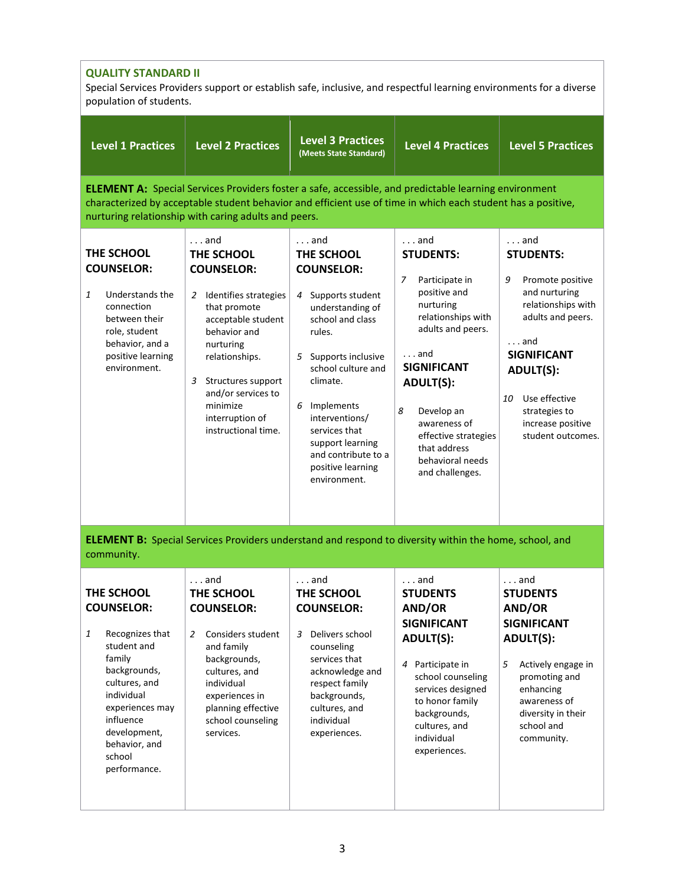| <b>QUALITY STANDARD II</b><br>Special Services Providers support or establish safe, inclusive, and respectful learning environments for a diverse<br>population of students.                                               |                                                                                                                                                                                                                                                                                      |                                                                                                                                                                                                                                                                                                                               |                                                                                                                                                                                                                                                                                                     |                                                                                                                                                                                                                                                            |
|----------------------------------------------------------------------------------------------------------------------------------------------------------------------------------------------------------------------------|--------------------------------------------------------------------------------------------------------------------------------------------------------------------------------------------------------------------------------------------------------------------------------------|-------------------------------------------------------------------------------------------------------------------------------------------------------------------------------------------------------------------------------------------------------------------------------------------------------------------------------|-----------------------------------------------------------------------------------------------------------------------------------------------------------------------------------------------------------------------------------------------------------------------------------------------------|------------------------------------------------------------------------------------------------------------------------------------------------------------------------------------------------------------------------------------------------------------|
| <b>Level 1 Practices</b>                                                                                                                                                                                                   | <b>Level 2 Practices</b>                                                                                                                                                                                                                                                             | <b>Level 3 Practices</b><br>(Meets State Standard)                                                                                                                                                                                                                                                                            | <b>Level 4 Practices</b>                                                                                                                                                                                                                                                                            | <b>Level 5 Practices</b>                                                                                                                                                                                                                                   |
|                                                                                                                                                                                                                            | <b>ELEMENT A:</b> Special Services Providers foster a safe, accessible, and predictable learning environment<br>characterized by acceptable student behavior and efficient use of time in which each student has a positive,<br>nurturing relationship with caring adults and peers. |                                                                                                                                                                                                                                                                                                                               |                                                                                                                                                                                                                                                                                                     |                                                                                                                                                                                                                                                            |
| THE SCHOOL<br><b>COUNSELOR:</b><br>1<br>Understands the<br>connection<br>between their<br>role, student<br>behavior, and a<br>positive learning<br>environment.                                                            | $\ldots$ and<br>THE SCHOOL<br><b>COUNSELOR:</b><br>Identifies strategies<br>2<br>that promote<br>acceptable student<br>behavior and<br>nurturing<br>relationships.<br>Structures support<br>3<br>and/or services to<br>minimize<br>interruption of<br>instructional time.            | $\ldots$ and<br>THE SCHOOL<br><b>COUNSELOR:</b><br>Supports student<br>4<br>understanding of<br>school and class<br>rules.<br>Supports inclusive<br>5<br>school culture and<br>climate.<br>Implements<br>6<br>interventions/<br>services that<br>support learning<br>and contribute to a<br>positive learning<br>environment. | $\dots$ and<br><b>STUDENTS:</b><br>7<br>Participate in<br>positive and<br>nurturing<br>relationships with<br>adults and peers.<br>$\ldots$ and<br><b>SIGNIFICANT</b><br>ADULT(S):<br>8<br>Develop an<br>awareness of<br>effective strategies<br>that address<br>behavioral needs<br>and challenges. | $\ldots$ and<br><b>STUDENTS:</b><br>9<br>Promote positive<br>and nurturing<br>relationships with<br>adults and peers.<br>$\ldots$ and<br><b>SIGNIFICANT</b><br>ADULT(S):<br>Use effective<br>10<br>strategies to<br>increase positive<br>student outcomes. |
| community.                                                                                                                                                                                                                 | <b>ELEMENT B:</b> Special Services Providers understand and respond to diversity within the home, school, and                                                                                                                                                                        |                                                                                                                                                                                                                                                                                                                               |                                                                                                                                                                                                                                                                                                     |                                                                                                                                                                                                                                                            |
| THE SCHOOL<br><b>COUNSELOR:</b><br>Recognizes that<br>1<br>student and<br>family<br>backgrounds,<br>cultures, and<br>individual<br>experiences may<br>influence<br>development,<br>behavior, and<br>school<br>performance. | $\ldots$ and<br>THE SCHOOL<br><b>COUNSELOR:</b><br>Considers student<br>2<br>and family<br>backgrounds,<br>cultures, and<br>individual<br>experiences in<br>planning effective<br>school counseling<br>services.                                                                     | $\ldots$ and<br>THE SCHOOL<br><b>COUNSELOR:</b><br>Delivers school<br>3<br>counseling<br>services that<br>acknowledge and<br>respect family<br>backgrounds,<br>cultures, and<br>individual<br>experiences.                                                                                                                    | $\dots$ and<br><b>STUDENTS</b><br>AND/OR<br><b>SIGNIFICANT</b><br><b>ADULT(S):</b><br>Participate in<br>4<br>school counseling<br>services designed<br>to honor family<br>backgrounds,<br>cultures, and<br>individual<br>experiences.                                                               | $\ldots$ and<br><b>STUDENTS</b><br>AND/OR<br><b>SIGNIFICANT</b><br><b>ADULT(S):</b><br>5<br>Actively engage in<br>promoting and<br>enhancing<br>awareness of<br>diversity in their<br>school and<br>community.                                             |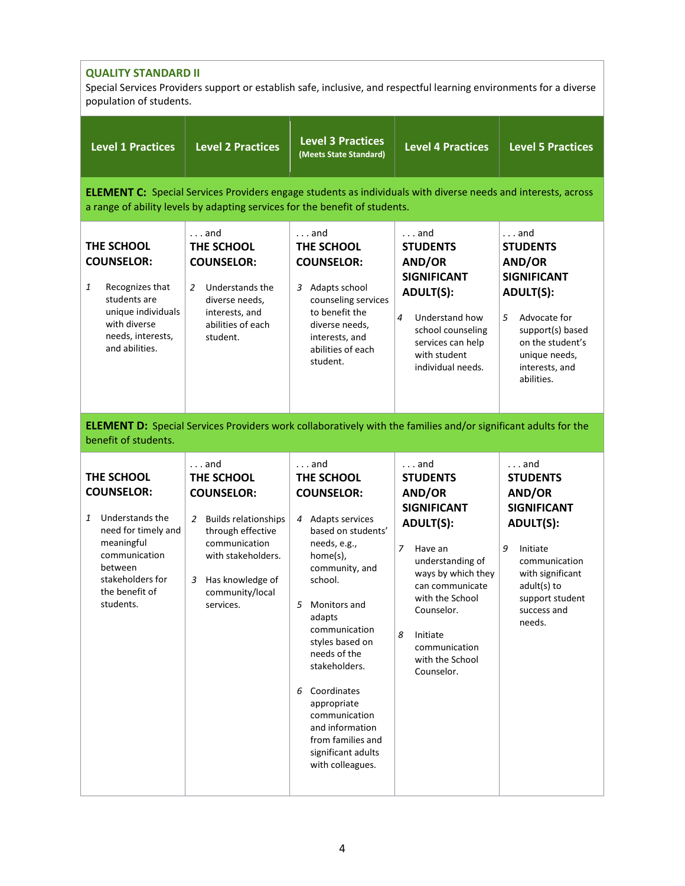| <b>QUALITY STANDARD II</b><br>Special Services Providers support or establish safe, inclusive, and respectful learning environments for a diverse<br>population of students. |                                                                                                                                                                                                     |                                                                                                                                                                                                                                                                                                                                                                                         |                                                                                                                                                                                                                                                                            |                                                                                                                                                                                                        |
|------------------------------------------------------------------------------------------------------------------------------------------------------------------------------|-----------------------------------------------------------------------------------------------------------------------------------------------------------------------------------------------------|-----------------------------------------------------------------------------------------------------------------------------------------------------------------------------------------------------------------------------------------------------------------------------------------------------------------------------------------------------------------------------------------|----------------------------------------------------------------------------------------------------------------------------------------------------------------------------------------------------------------------------------------------------------------------------|--------------------------------------------------------------------------------------------------------------------------------------------------------------------------------------------------------|
| <b>Level 1 Practices</b>                                                                                                                                                     | <b>Level 2 Practices</b>                                                                                                                                                                            | <b>Level 3 Practices</b><br>(Meets State Standard)                                                                                                                                                                                                                                                                                                                                      | <b>Level 4 Practices</b>                                                                                                                                                                                                                                                   | <b>Level 5 Practices</b>                                                                                                                                                                               |
|                                                                                                                                                                              | <b>ELEMENT C:</b> Special Services Providers engage students as individuals with diverse needs and interests, across<br>a range of ability levels by adapting services for the benefit of students. |                                                                                                                                                                                                                                                                                                                                                                                         |                                                                                                                                                                                                                                                                            |                                                                                                                                                                                                        |
| THE SCHOOL<br><b>COUNSELOR:</b><br>Recognizes that<br>1<br>students are<br>unique individuals<br>with diverse<br>needs, interests,<br>and abilities.                         | $\ldots$ and<br>THE SCHOOL<br><b>COUNSELOR:</b><br>Understands the<br>2<br>diverse needs,<br>interests, and<br>abilities of each<br>student.                                                        | $\ldots$ and<br>THE SCHOOL<br><b>COUNSELOR:</b><br>3 Adapts school<br>counseling services<br>to benefit the<br>diverse needs,<br>interests, and<br>abilities of each<br>student.                                                                                                                                                                                                        | $\ldots$ and<br><b>STUDENTS</b><br>AND/OR<br><b>SIGNIFICANT</b><br><b>ADULT(S):</b><br>4<br>Understand how<br>school counseling<br>services can help<br>with student<br>individual needs.                                                                                  | $\ldots$ and<br><b>STUDENTS</b><br>AND/OR<br><b>SIGNIFICANT</b><br><b>ADULT(S):</b><br>5<br>Advocate for<br>support(s) based<br>on the student's<br>unique needs,<br>interests, and<br>abilities.      |
| benefit of students.                                                                                                                                                         | <b>ELEMENT D:</b> Special Services Providers work collaboratively with the families and/or significant adults for the                                                                               |                                                                                                                                                                                                                                                                                                                                                                                         |                                                                                                                                                                                                                                                                            |                                                                                                                                                                                                        |
| THE SCHOOL<br><b>COUNSELOR:</b><br>Understands the<br>1<br>need for timely and<br>meaningful<br>communication<br>between<br>stakeholders for<br>the benefit of<br>students.  | $\ldots$ and<br>THE SCHOOL<br><b>COUNSELOR:</b><br>2 Builds relationships<br>through effective<br>communication<br>with stakeholders.<br>3 Has knowledge of<br>community/local<br>services.         | $\ldots$ and<br>THE SCHOOL<br><b>COUNSELOR:</b><br>4 Adapts services<br>based on students'<br>needs, e.g.,<br>home(s),<br>community, and<br>school.<br>5 Monitors and<br>adapts<br>communication<br>styles based on<br>needs of the<br>stakeholders.<br>6 Coordinates<br>appropriate<br>communication<br>and information<br>from families and<br>significant adults<br>with colleagues. | . and<br><b>STUDENTS</b><br>AND/OR<br><b>SIGNIFICANT</b><br><b>ADULT(S):</b><br>$\overline{7}$<br>Have an<br>understanding of<br>ways by which they<br>can communicate<br>with the School<br>Counselor.<br>8<br>Initiate<br>communication<br>with the School<br>Counselor. | $\ldots$ and<br><b>STUDENTS</b><br>AND/OR<br><b>SIGNIFICANT</b><br><b>ADULT(S):</b><br>9<br>Initiate<br>communication<br>with significant<br>$adult(s)$ to<br>support student<br>success and<br>needs. |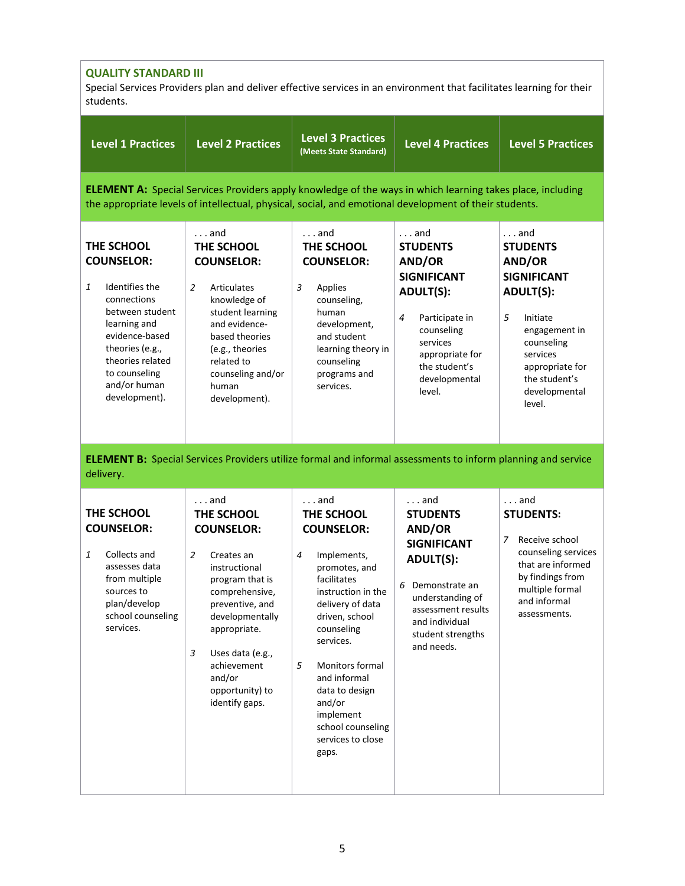| <b>QUALITY STANDARD III</b><br>Special Services Providers plan and deliver effective services in an environment that facilitates learning for their<br>students.                                                               |                                                                                                                                                                                                                                                              |                                                                                                                                                                                                                                                                                                                                |                                                                                                                                                                                                           |                                                                                                                                                                                                                |
|--------------------------------------------------------------------------------------------------------------------------------------------------------------------------------------------------------------------------------|--------------------------------------------------------------------------------------------------------------------------------------------------------------------------------------------------------------------------------------------------------------|--------------------------------------------------------------------------------------------------------------------------------------------------------------------------------------------------------------------------------------------------------------------------------------------------------------------------------|-----------------------------------------------------------------------------------------------------------------------------------------------------------------------------------------------------------|----------------------------------------------------------------------------------------------------------------------------------------------------------------------------------------------------------------|
| <b>Level 1 Practices</b>                                                                                                                                                                                                       | <b>Level 2 Practices</b>                                                                                                                                                                                                                                     | <b>Level 3 Practices</b><br>(Meets State Standard)                                                                                                                                                                                                                                                                             | <b>Level 4 Practices</b>                                                                                                                                                                                  | <b>Level 5 Practices</b>                                                                                                                                                                                       |
| <b>ELEMENT A:</b> Special Services Providers apply knowledge of the ways in which learning takes place, including<br>the appropriate levels of intellectual, physical, social, and emotional development of their students.    |                                                                                                                                                                                                                                                              |                                                                                                                                                                                                                                                                                                                                |                                                                                                                                                                                                           |                                                                                                                                                                                                                |
| THE SCHOOL<br><b>COUNSELOR:</b><br>$\mathbf{1}$<br>Identifies the<br>connections<br>between student<br>learning and<br>evidence-based<br>theories (e.g.,<br>theories related<br>to counseling<br>and/or human<br>development). | and<br>THE SCHOOL<br><b>COUNSELOR:</b><br>$\overline{2}$<br><b>Articulates</b><br>knowledge of<br>student learning<br>and evidence-<br>based theories<br>(e.g., theories<br>related to<br>counseling and/or<br>human<br>development).                        | $\ldots$ and<br>THE SCHOOL<br><b>COUNSELOR:</b><br>3<br>Applies<br>counseling,<br>human<br>development,<br>and student<br>learning theory in<br>counseling<br>programs and<br>services.                                                                                                                                        | $\ldots$ and<br><b>STUDENTS</b><br>AND/OR<br><b>SIGNIFICANT</b><br><b>ADULT(S):</b><br>4<br>Participate in<br>counseling<br>services<br>appropriate for<br>the student's<br>developmental<br>level.       | $\ldots$ and<br><b>STUDENTS</b><br>AND/OR<br><b>SIGNIFICANT</b><br><b>ADULT(S):</b><br>5<br>Initiate<br>engagement in<br>counseling<br>services<br>appropriate for<br>the student's<br>developmental<br>level. |
| delivery.                                                                                                                                                                                                                      | <b>ELEMENT B:</b> Special Services Providers utilize formal and informal assessments to inform planning and service                                                                                                                                          |                                                                                                                                                                                                                                                                                                                                |                                                                                                                                                                                                           |                                                                                                                                                                                                                |
| THE SCHOOL<br><b>COUNSELOR:</b><br>Collects and<br>1<br>assesses data<br>from multiple<br>sources to<br>plan/develop<br>school counseling<br>services.                                                                         | and<br>THE SCHOOL<br><b>COUNSELOR:</b><br>2<br>Creates an<br>instructional<br>program that is<br>comprehensive,<br>preventive, and<br>developmentally<br>appropriate.<br>3<br>Uses data (e.g.,<br>achievement<br>and/or<br>opportunity) to<br>identify gaps. | $\ldots$ and<br>THE SCHOOL<br><b>COUNSELOR:</b><br>Implements,<br>4<br>promotes, and<br>facilitates<br>instruction in the<br>delivery of data<br>driven, school<br>counseling<br>services.<br>5<br>Monitors formal<br>and informal<br>data to design<br>and/or<br>implement<br>school counseling<br>services to close<br>gaps. | $\ldots$ and<br><b>STUDENTS</b><br>AND/OR<br><b>SIGNIFICANT</b><br><b>ADULT(S):</b><br>Demonstrate an<br>6<br>understanding of<br>assessment results<br>and individual<br>student strengths<br>and needs. | $\ldots$ and<br><b>STUDENTS:</b><br>Receive school<br>7<br>counseling services<br>that are informed<br>by findings from<br>multiple formal<br>and informal<br>assessments.                                     |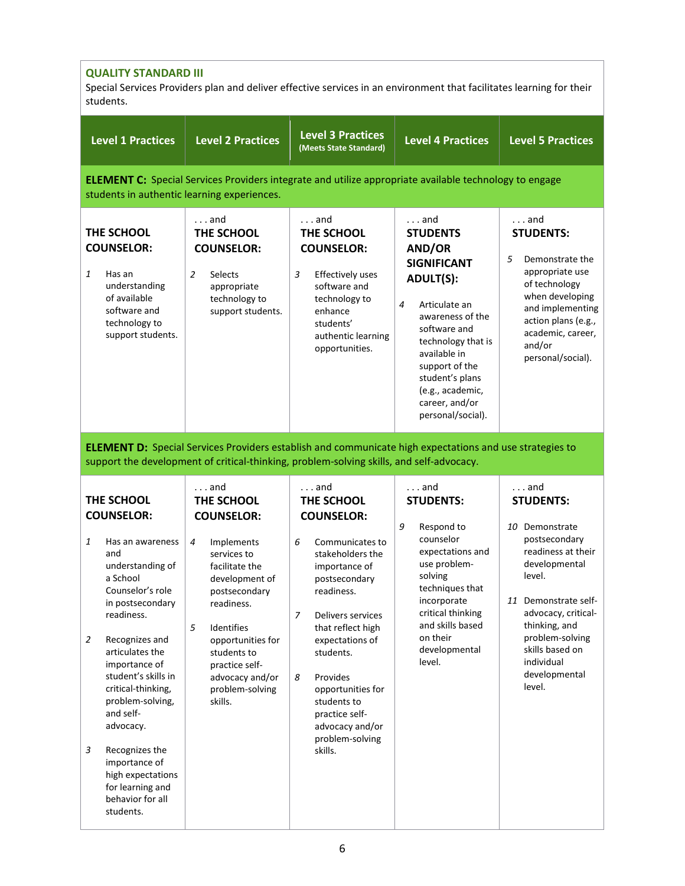| <b>QUALITY STANDARD III</b><br>Special Services Providers plan and deliver effective services in an environment that facilitates learning for their<br>students.                                                                                                                                                                                                                                                                           |                |                                                                                                                                                                                                                                                                      |                                                                                                                                                                                                                                                                                                                                                    |                                                                                                                                                                                                                                                                                     |                                                                                                                                                                                                                                                                     |
|--------------------------------------------------------------------------------------------------------------------------------------------------------------------------------------------------------------------------------------------------------------------------------------------------------------------------------------------------------------------------------------------------------------------------------------------|----------------|----------------------------------------------------------------------------------------------------------------------------------------------------------------------------------------------------------------------------------------------------------------------|----------------------------------------------------------------------------------------------------------------------------------------------------------------------------------------------------------------------------------------------------------------------------------------------------------------------------------------------------|-------------------------------------------------------------------------------------------------------------------------------------------------------------------------------------------------------------------------------------------------------------------------------------|---------------------------------------------------------------------------------------------------------------------------------------------------------------------------------------------------------------------------------------------------------------------|
| <b>Level 1 Practices</b>                                                                                                                                                                                                                                                                                                                                                                                                                   |                | <b>Level 2 Practices</b>                                                                                                                                                                                                                                             | <b>Level 3 Practices</b><br>(Meets State Standard)                                                                                                                                                                                                                                                                                                 | <b>Level 4 Practices</b>                                                                                                                                                                                                                                                            | <b>Level 5 Practices</b>                                                                                                                                                                                                                                            |
|                                                                                                                                                                                                                                                                                                                                                                                                                                            |                | students in authentic learning experiences.                                                                                                                                                                                                                          |                                                                                                                                                                                                                                                                                                                                                    | <b>ELEMENT C:</b> Special Services Providers integrate and utilize appropriate available technology to engage                                                                                                                                                                       |                                                                                                                                                                                                                                                                     |
| THE SCHOOL<br><b>COUNSELOR:</b><br>1<br>Has an<br>understanding<br>of available<br>software and<br>technology to<br>support students.                                                                                                                                                                                                                                                                                                      | $\overline{2}$ | $\ldots$ and<br>THE SCHOOL<br><b>COUNSELOR:</b><br>Selects<br>appropriate<br>technology to<br>support students.                                                                                                                                                      | $\ldots$ and<br>THE SCHOOL<br><b>COUNSELOR:</b><br>3<br>Effectively uses<br>software and<br>technology to<br>enhance<br>students'<br>authentic learning<br>opportunities.                                                                                                                                                                          | $\ldots$ and<br><b>STUDENTS</b><br>AND/OR<br><b>SIGNIFICANT</b><br><b>ADULT(S):</b><br>Articulate an<br>4<br>awareness of the<br>software and<br>technology that is<br>available in<br>support of the<br>student's plans<br>(e.g., academic,<br>career, and/or<br>personal/social). | $\ldots$ and<br><b>STUDENTS:</b><br>Demonstrate the<br>5<br>appropriate use<br>of technology<br>when developing<br>and implementing<br>action plans (e.g.,<br>academic, career,<br>and/or<br>personal/social).                                                      |
|                                                                                                                                                                                                                                                                                                                                                                                                                                            |                |                                                                                                                                                                                                                                                                      | support the development of critical-thinking, problem-solving skills, and self-advocacy.                                                                                                                                                                                                                                                           | <b>ELEMENT D:</b> Special Services Providers establish and communicate high expectations and use strategies to                                                                                                                                                                      |                                                                                                                                                                                                                                                                     |
| THE SCHOOL<br><b>COUNSELOR:</b><br>1<br>Has an awareness<br>and<br>understanding of<br>a School<br>Counselor's role<br>in postsecondary<br>readiness.<br>$\overline{2}$<br>Recognizes and<br>articulates the<br>importance of<br>student's skills in<br>critical-thinking,<br>problem-solving,<br>and self-<br>advocacy.<br>3<br>Recognizes the<br>importance of<br>high expectations<br>for learning and<br>behavior for all<br>students. | 4<br>5         | $\ldots$ and<br>THE SCHOOL<br><b>COUNSELOR:</b><br>Implements<br>services to<br>facilitate the<br>development of<br>postsecondary<br>readiness.<br>Identifies<br>opportunities for<br>students to<br>practice self-<br>advocacy and/or<br>problem-solving<br>skills. | $\ldots$ and<br>THE SCHOOL<br><b>COUNSELOR:</b><br>Communicates to<br>6<br>stakeholders the<br>importance of<br>postsecondary<br>readiness.<br>Delivers services<br>7<br>that reflect high<br>expectations of<br>students.<br>Provides<br>8<br>opportunities for<br>students to<br>practice self-<br>advocacy and/or<br>problem-solving<br>skills. | $\ldots$ and<br><b>STUDENTS:</b><br>9<br>Respond to<br>counselor<br>expectations and<br>use problem-<br>solving<br>techniques that<br>incorporate<br>critical thinking<br>and skills based<br>on their<br>developmental<br>level.                                                   | $\ldots$ and<br><b>STUDENTS:</b><br>10 Demonstrate<br>postsecondary<br>readiness at their<br>developmental<br>level.<br>11 Demonstrate self-<br>advocacy, critical-<br>thinking, and<br>problem-solving<br>skills based on<br>individual<br>developmental<br>level. |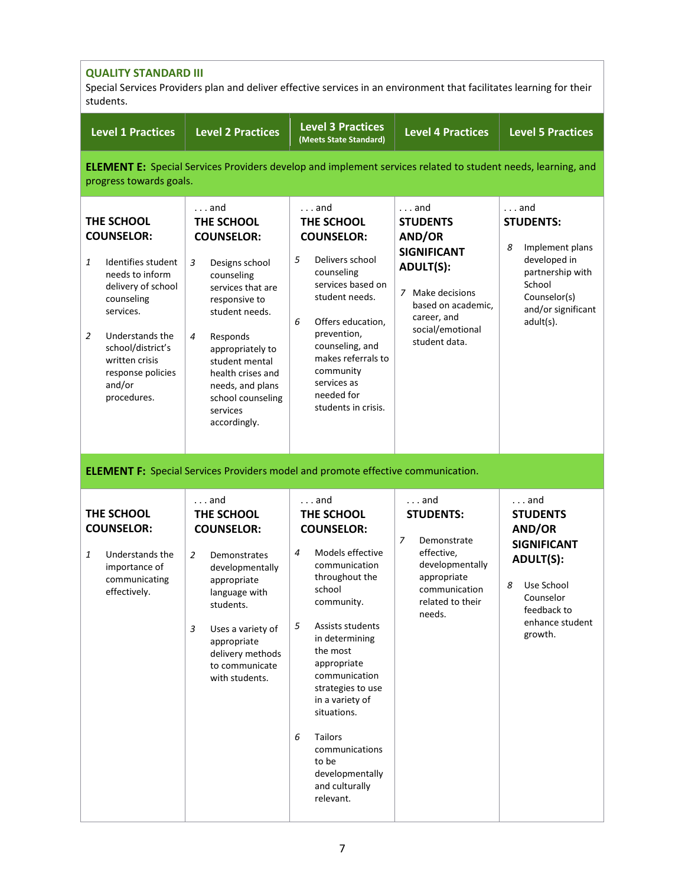| <b>QUALITY STANDARD III</b><br>Special Services Providers plan and deliver effective services in an environment that facilitates learning for their<br>students.                                                                            |                                                                                                                                                                                                                                                                                                            |                                                                                                                                                                                                                                                                                                                                                                       |                                                                                                                                                                                   |                                                                                                                                                                  |  |  |
|---------------------------------------------------------------------------------------------------------------------------------------------------------------------------------------------------------------------------------------------|------------------------------------------------------------------------------------------------------------------------------------------------------------------------------------------------------------------------------------------------------------------------------------------------------------|-----------------------------------------------------------------------------------------------------------------------------------------------------------------------------------------------------------------------------------------------------------------------------------------------------------------------------------------------------------------------|-----------------------------------------------------------------------------------------------------------------------------------------------------------------------------------|------------------------------------------------------------------------------------------------------------------------------------------------------------------|--|--|
| <b>Level 1 Practices</b>                                                                                                                                                                                                                    | <b>Level 2 Practices</b>                                                                                                                                                                                                                                                                                   | <b>Level 3 Practices</b><br>(Meets State Standard)                                                                                                                                                                                                                                                                                                                    | Level 4 Practices                                                                                                                                                                 | <b>Level 5 Practices</b>                                                                                                                                         |  |  |
|                                                                                                                                                                                                                                             | <b>ELEMENT E:</b> Special Services Providers develop and implement services related to student needs, learning, and<br>progress towards goals.                                                                                                                                                             |                                                                                                                                                                                                                                                                                                                                                                       |                                                                                                                                                                                   |                                                                                                                                                                  |  |  |
| THE SCHOOL<br><b>COUNSELOR:</b><br>Identifies student<br>1<br>needs to inform<br>delivery of school<br>counseling<br>services.<br>2<br>Understands the<br>school/district's<br>written crisis<br>response policies<br>and/or<br>procedures. | $\ldots$ and<br>THE SCHOOL<br><b>COUNSELOR:</b><br>3<br>Designs school<br>counseling<br>services that are<br>responsive to<br>student needs.<br>$\overline{4}$<br>Responds<br>appropriately to<br>student mental<br>health crises and<br>needs, and plans<br>school counseling<br>services<br>accordingly. | $\ldots$ and<br>THE SCHOOL<br><b>COUNSELOR:</b><br>5<br>Delivers school<br>counseling<br>services based on<br>student needs.<br>Offers education,<br>6<br>prevention,<br>counseling, and<br>makes referrals to<br>community<br>services as<br>needed for<br>students in crisis.                                                                                       | $\ldots$ and<br><b>STUDENTS</b><br>AND/OR<br><b>SIGNIFICANT</b><br><b>ADULT(S):</b><br>7 Make decisions<br>based on academic,<br>career, and<br>social/emotional<br>student data. | $\ldots$ and<br><b>STUDENTS:</b><br>Implement plans<br>8<br>developed in<br>partnership with<br>School<br>Counselor(s)<br>and/or significant<br>adult(s).        |  |  |
|                                                                                                                                                                                                                                             | <b>ELEMENT F:</b> Special Services Providers model and promote effective communication.                                                                                                                                                                                                                    |                                                                                                                                                                                                                                                                                                                                                                       |                                                                                                                                                                                   |                                                                                                                                                                  |  |  |
| THE SCHOOL<br><b>COUNSELOR:</b><br>Understands the<br>1<br>importance of<br>communicating<br>effectively.                                                                                                                                   | and<br>THE SCHOOL<br><b>COUNSELOR:</b><br>2<br>Demonstrates<br>developmentally<br>appropriate<br>language with<br>students.<br>3<br>Uses a variety of<br>appropriate<br>delivery methods<br>to communicate<br>with students.                                                                               | and<br>THE SCHOOL<br><b>COUNSELOR:</b><br>Models effective<br>4<br>communication<br>throughout the<br>school<br>community.<br>5<br>Assists students<br>in determining<br>the most<br>appropriate<br>communication<br>strategies to use<br>in a variety of<br>situations.<br>Tailors<br>6<br>communications<br>to be<br>developmentally<br>and culturally<br>relevant. | $\ldots$ and<br><b>STUDENTS:</b><br>7<br>Demonstrate<br>effective,<br>developmentally<br>appropriate<br>communication<br>related to their<br>needs.                               | $\ldots$ and<br><b>STUDENTS</b><br>AND/OR<br><b>SIGNIFICANT</b><br><b>ADULT(S):</b><br>Use School<br>8<br>Counselor<br>feedback to<br>enhance student<br>growth. |  |  |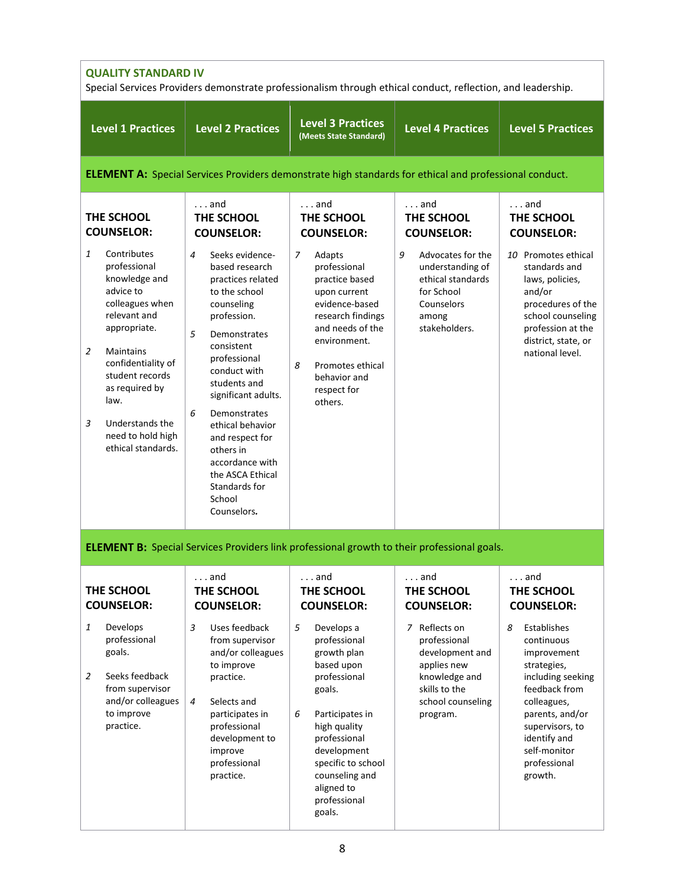| <b>QUALITY STANDARD IV</b><br>Special Services Providers demonstrate professionalism through ethical conduct, reflection, and leadership.                                                                                                                                            |                                                                                                                                                                                                                                                                                                                                                                               |                                                                                                                                                                                                                                               |                                                                                                                                    |                                                                                                                                                                                                                    |
|--------------------------------------------------------------------------------------------------------------------------------------------------------------------------------------------------------------------------------------------------------------------------------------|-------------------------------------------------------------------------------------------------------------------------------------------------------------------------------------------------------------------------------------------------------------------------------------------------------------------------------------------------------------------------------|-----------------------------------------------------------------------------------------------------------------------------------------------------------------------------------------------------------------------------------------------|------------------------------------------------------------------------------------------------------------------------------------|--------------------------------------------------------------------------------------------------------------------------------------------------------------------------------------------------------------------|
| <b>Level 1 Practices</b>                                                                                                                                                                                                                                                             | <b>Level 2 Practices</b>                                                                                                                                                                                                                                                                                                                                                      | <b>Level 3 Practices</b><br>(Meets State Standard)                                                                                                                                                                                            | <b>Level 4 Practices</b>                                                                                                           | <b>Level 5 Practices</b>                                                                                                                                                                                           |
|                                                                                                                                                                                                                                                                                      | <b>ELEMENT A:</b> Special Services Providers demonstrate high standards for ethical and professional conduct.                                                                                                                                                                                                                                                                 |                                                                                                                                                                                                                                               |                                                                                                                                    |                                                                                                                                                                                                                    |
| THE SCHOOL<br><b>COUNSELOR:</b>                                                                                                                                                                                                                                                      | $\ldots$ and<br>THE SCHOOL<br><b>COUNSELOR:</b>                                                                                                                                                                                                                                                                                                                               | $\ldots$ and<br>THE SCHOOL<br><b>COUNSELOR:</b>                                                                                                                                                                                               | $\ldots$ and<br>THE SCHOOL<br><b>COUNSELOR:</b>                                                                                    | $\ldots$ and<br>THE SCHOOL<br><b>COUNSELOR:</b>                                                                                                                                                                    |
| $\mathbf{1}$<br>Contributes<br>professional<br>knowledge and<br>advice to<br>colleagues when<br>relevant and<br>appropriate.<br>2<br>Maintains<br>confidentiality of<br>student records<br>as required by<br>law.<br>3<br>Understands the<br>need to hold high<br>ethical standards. | Seeks evidence-<br>4<br>based research<br>practices related<br>to the school<br>counseling<br>profession.<br>5<br>Demonstrates<br>consistent<br>professional<br>conduct with<br>students and<br>significant adults.<br>6<br>Demonstrates<br>ethical behavior<br>and respect for<br>others in<br>accordance with<br>the ASCA Ethical<br>Standards for<br>School<br>Counselors. | 7<br>Adapts<br>professional<br>practice based<br>upon current<br>evidence-based<br>research findings<br>and needs of the<br>environment.<br>8<br>Promotes ethical<br>behavior and<br>respect for<br>others.                                   | 9<br>Advocates for the<br>understanding of<br>ethical standards<br>for School<br>Counselors<br>among<br>stakeholders.              | 10 Promotes ethical<br>standards and<br>laws, policies,<br>and/or<br>procedures of the<br>school counseling<br>profession at the<br>district, state, or<br>national level.                                         |
|                                                                                                                                                                                                                                                                                      | <b>ELEMENT B:</b> Special Services Providers link professional growth to their professional goals.                                                                                                                                                                                                                                                                            |                                                                                                                                                                                                                                               |                                                                                                                                    |                                                                                                                                                                                                                    |
| THE SCHOOL<br><b>COUNSELOR:</b>                                                                                                                                                                                                                                                      | . and<br>THE SCHOOL<br><b>COUNSELOR:</b>                                                                                                                                                                                                                                                                                                                                      | $\ldots$ and<br>THE SCHOOL<br><b>COUNSELOR:</b>                                                                                                                                                                                               | $\ldots$ and<br>THE SCHOOL<br><b>COUNSELOR:</b>                                                                                    | and<br>THE SCHOOL<br><b>COUNSELOR:</b>                                                                                                                                                                             |
| Develops<br>1<br>professional<br>goals.<br>$\overline{2}$<br>Seeks feedback<br>from supervisor<br>and/or colleagues<br>to improve<br>practice.                                                                                                                                       | 3<br>Uses feedback<br>from supervisor<br>and/or colleagues<br>to improve<br>practice.<br>$\overline{4}$<br>Selects and<br>participates in<br>professional<br>development to<br>improve<br>professional<br>practice.                                                                                                                                                           | 5<br>Develops a<br>professional<br>growth plan<br>based upon<br>professional<br>goals.<br>Participates in<br>6<br>high quality<br>professional<br>development<br>specific to school<br>counseling and<br>aligned to<br>professional<br>goals. | 7 Reflects on<br>professional<br>development and<br>applies new<br>knowledge and<br>skills to the<br>school counseling<br>program. | Establishes<br>8<br>continuous<br>improvement<br>strategies,<br>including seeking<br>feedback from<br>colleagues,<br>parents, and/or<br>supervisors, to<br>identify and<br>self-monitor<br>professional<br>growth. |